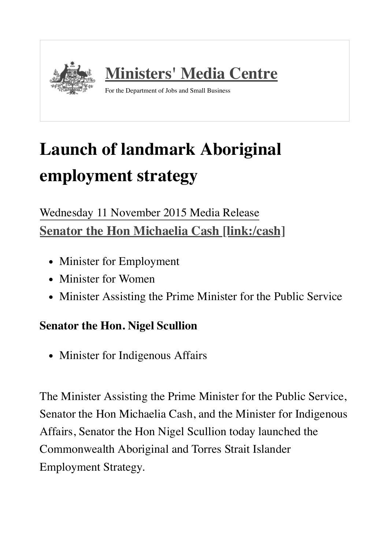

## **Launch of landmark Aboriginal employment strategy**

## Wednesday 11 November 2015 Media Release **Senator the Hon Michaelia Cash [\[link:/cash\]](https://ministers.jobs.gov.au/cash)**

- Minister for Employment
- Minister for Women
- Minister Assisting the Prime Minister for the Public Service

## **Senator the Hon. Nigel Scullion**

• Minister for Indigenous Affairs

The Minister Assisting the Prime Minister for the Public Service, Senator the Hon Michaelia Cash, and the Minister for Indigenous Affairs, Senator the Hon Nigel Scullion today launched the Commonwealth Aboriginal and Torres Strait Islander Employment Strategy.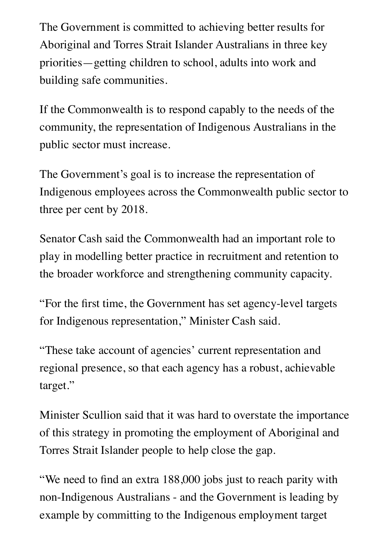The Government is committed to achieving better results for Aboriginal and Torres Strait Islander Australians in three key priorities—getting children to school, adults into work and building safe communities.

If the Commonwealth is to respond capably to the needs of the community, the representation of Indigenous Australians in the public sector must increase.

The Government's goal is to increase the representation of Indigenous employees across the Commonwealth public sector to three per cent by 2018.

Senator Cash said the Commonwealth had an important role to play in modelling better practice in recruitment and retention to the broader workforce and strengthening community capacity.

"For the first time, the Government has set agency-level targets for Indigenous representation," Minister Cash said.

"These take account of agencies' current representation and regional presence, so that each agency has a robust, achievable target."

Minister Scullion said that it was hard to overstate the importance of this strategy in promoting the employment of Aboriginal and Torres Strait Islander people to help close the gap.

"We need to find an extra 188,000 jobs just to reach parity with non-Indigenous Australians - and the Government is leading by example by committing to the Indigenous employment target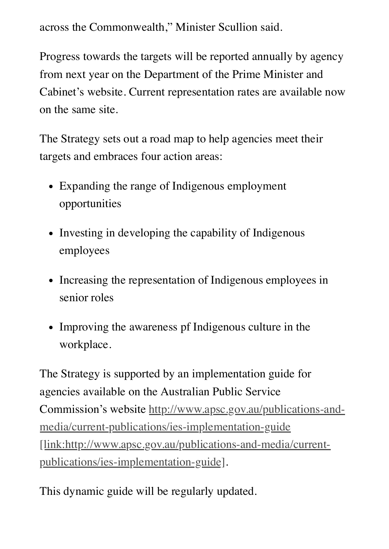across the Commonwealth," Minister Scullion said.

Progress towards the targets will be reported annually by agency from next year on the Department of the Prime Minister and Cabinet's website. Current representation rates are available now on the same site.

The Strategy sets out a road map to help agencies meet their targets and embraces four action areas:

- Expanding the range of Indigenous employment opportunities
- Investing in developing the capability of Indigenous employees
- Increasing the representation of Indigenous employees in senior roles
- Improving the awareness pf Indigenous culture in the workplace.

The Strategy is supported by an implementation guide for agencies available on the Australian Public Service [Commission's website http://www.apsc.gov.au/publications-and](http://www.apsc.gov.au/publications-and-media/current-publications/ies-implementation-guide)media/current-publications/ies-implementation-guide [link:http://www.apsc.gov.au/publications-and-media/currentpublications/ies-implementation-guide].

This dynamic guide will be regularly updated.